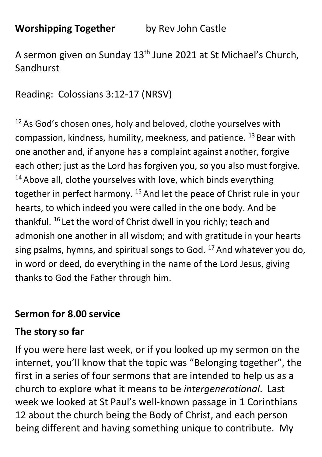**Worshipping Together** by Rev John Castle

A sermon given on Sunday 13<sup>th</sup> June 2021 at St Michael's Church, Sandhurst

Reading: Colossians 3:12-17 (NRSV)

 $12$  As God's chosen ones, holy and beloved, clothe yourselves with compassion, kindness, humility, meekness, and patience. <sup>13</sup> Bear with one another and, if anyone has a complaint against another, forgive each other; just as the Lord has forgiven you, so you also must forgive.  $14$  Above all, clothe yourselves with love, which binds everything together in perfect harmony. <sup>15</sup> And let the peace of Christ rule in your hearts, to which indeed you were called in the one body. And be thankful. <sup>16</sup> Let the word of Christ dwell in you richly; teach and admonish one another in all wisdom; and with gratitude in your hearts sing psalms, hymns, and spiritual songs to God.  $17$  And whatever you do, in word or deed, do everything in the name of the Lord Jesus, giving thanks to God the Father through him.

#### **Sermon for 8.00 service**

#### **The story so far**

If you were here last week, or if you looked up my sermon on the internet, you'll know that the topic was "Belonging together", the first in a series of four sermons that are intended to help us as a church to explore what it means to be *intergenerational*. Last week we looked at St Paul's well-known passage in 1 Corinthians 12 about the church being the Body of Christ, and each person being different and having something unique to contribute. My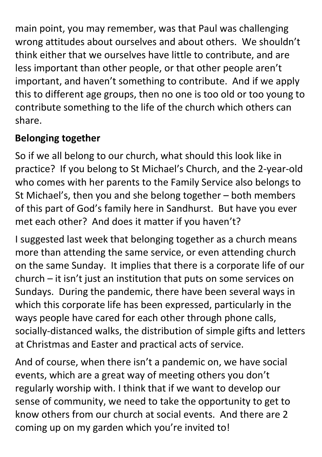main point, you may remember, was that Paul was challenging wrong attitudes about ourselves and about others. We shouldn't think either that we ourselves have little to contribute, and are less important than other people, or that other people aren't important, and haven't something to contribute. And if we apply this to different age groups, then no one is too old or too young to contribute something to the life of the church which others can share.

# **Belonging together**

So if we all belong to our church, what should this look like in practice? If you belong to St Michael's Church, and the 2-year-old who comes with her parents to the Family Service also belongs to St Michael's, then you and she belong together – both members of this part of God's family here in Sandhurst. But have you ever met each other? And does it matter if you haven't?

I suggested last week that belonging together as a church means more than attending the same service, or even attending church on the same Sunday. It implies that there is a corporate life of our church – it isn't just an institution that puts on some services on Sundays. During the pandemic, there have been several ways in which this corporate life has been expressed, particularly in the ways people have cared for each other through phone calls, socially-distanced walks, the distribution of simple gifts and letters at Christmas and Easter and practical acts of service.

And of course, when there isn't a pandemic on, we have social events, which are a great way of meeting others you don't regularly worship with. I think that if we want to develop our sense of community, we need to take the opportunity to get to know others from our church at social events. And there are 2 coming up on my garden which you're invited to!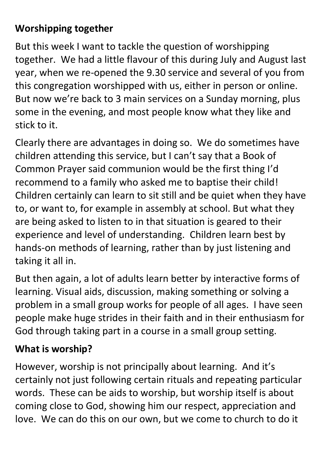## **Worshipping together**

But this week I want to tackle the question of worshipping together. We had a little flavour of this during July and August last year, when we re-opened the 9.30 service and several of you from this congregation worshipped with us, either in person or online. But now we're back to 3 main services on a Sunday morning, plus some in the evening, and most people know what they like and stick to it.

Clearly there are advantages in doing so. We do sometimes have children attending this service, but I can't say that a Book of Common Prayer said communion would be the first thing I'd recommend to a family who asked me to baptise their child! Children certainly can learn to sit still and be quiet when they have to, or want to, for example in assembly at school. But what they are being asked to listen to in that situation is geared to their experience and level of understanding. Children learn best by hands-on methods of learning, rather than by just listening and taking it all in.

But then again, a lot of adults learn better by interactive forms of learning. Visual aids, discussion, making something or solving a problem in a small group works for people of all ages. I have seen people make huge strides in their faith and in their enthusiasm for God through taking part in a course in a small group setting.

### **What is worship?**

However, worship is not principally about learning. And it's certainly not just following certain rituals and repeating particular words. These can be aids to worship, but worship itself is about coming close to God, showing him our respect, appreciation and love. We can do this on our own, but we come to church to do it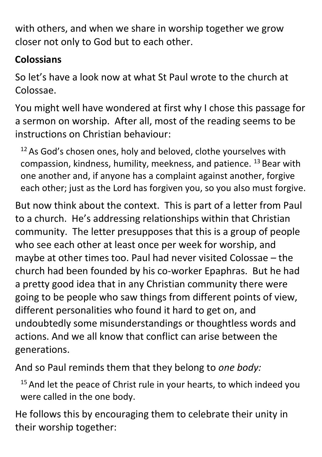with others, and when we share in worship together we grow closer not only to God but to each other.

## **Colossians**

So let's have a look now at what St Paul wrote to the church at Colossae.

You might well have wondered at first why I chose this passage for a sermon on worship. After all, most of the reading seems to be instructions on Christian behaviour:

 $12$  As God's chosen ones, holy and beloved, clothe yourselves with compassion, kindness, humility, meekness, and patience. <sup>13</sup> Bear with one another and, if anyone has a complaint against another, forgive each other; just as the Lord has forgiven you, so you also must forgive.

But now think about the context. This is part of a letter from Paul to a church. He's addressing relationships within that Christian community. The letter presupposes that this is a group of people who see each other at least once per week for worship, and maybe at other times too. Paul had never visited Colossae – the church had been founded by his co-worker Epaphras. But he had a pretty good idea that in any Christian community there were going to be people who saw things from different points of view, different personalities who found it hard to get on, and undoubtedly some misunderstandings or thoughtless words and actions. And we all know that conflict can arise between the generations.

And so Paul reminds them that they belong to *one body:*

 $15$  And let the peace of Christ rule in your hearts, to which indeed you were called in the one body.

He follows this by encouraging them to celebrate their unity in their worship together: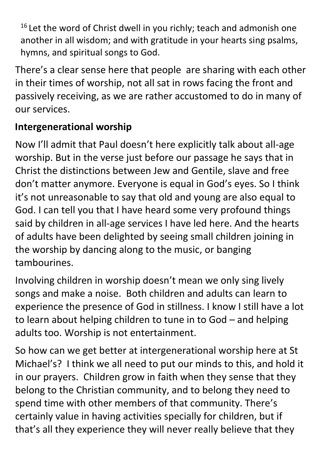<sup>16</sup> Let the word of Christ dwell in you richly; teach and admonish one another in all wisdom; and with gratitude in your hearts sing psalms, hymns, and spiritual songs to God.

There's a clear sense here that people are sharing with each other in their times of worship, not all sat in rows facing the front and passively receiving, as we are rather accustomed to do in many of our services.

### **Intergenerational worship**

Now I'll admit that Paul doesn't here explicitly talk about all-age worship. But in the verse just before our passage he says that in Christ the distinctions between Jew and Gentile, slave and free don't matter anymore. Everyone is equal in God's eyes. So I think it's not unreasonable to say that old and young are also equal to God. I can tell you that I have heard some very profound things said by children in all-age services I have led here. And the hearts of adults have been delighted by seeing small children joining in the worship by dancing along to the music, or banging tambourines.

Involving children in worship doesn't mean we only sing lively songs and make a noise. Both children and adults can learn to experience the presence of God in stillness. I know I still have a lot to learn about helping children to tune in to God – and helping adults too. Worship is not entertainment.

So how can we get better at intergenerational worship here at St Michael's? I think we all need to put our minds to this, and hold it in our prayers. Children grow in faith when they sense that they belong to the Christian community, and to belong they need to spend time with other members of that community. There's certainly value in having activities specially for children, but if that's all they experience they will never really believe that they